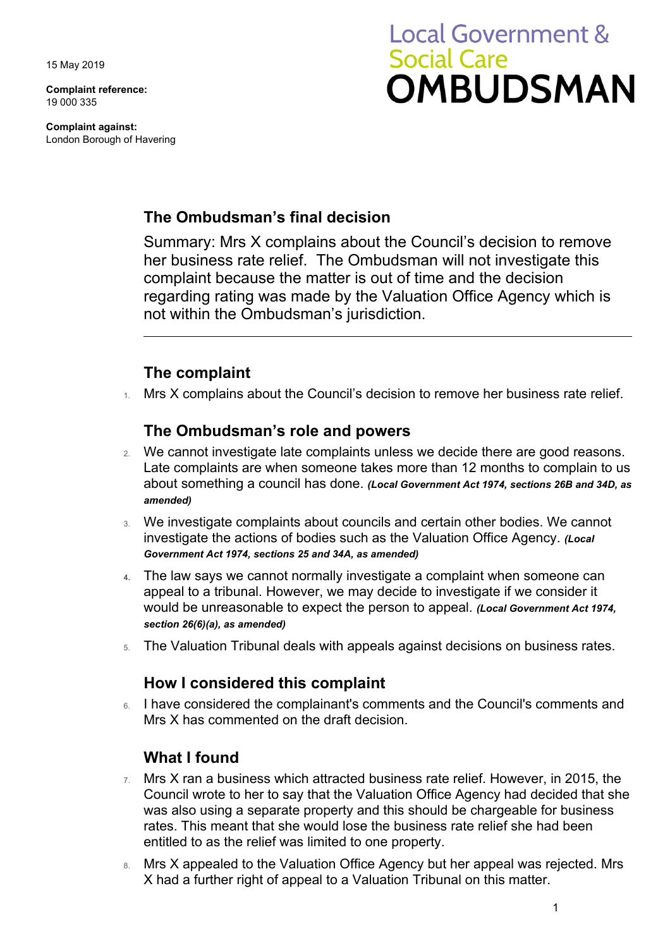15 May 2019

**Complaint reference:**  19 000 335

**Complaint against:**  London Borough of Havering

# **Local Government & Social Care OMBUDSMAN**

## **The Ombudsman's final decision**

Summary: Mrs X complains about the Council's decision to remove her business rate relief. The Ombudsman will not investigate this complaint because the matter is out of time and the decision regarding rating was made by the Valuation Office Agency which is not within the Ombudsman's jurisdiction.

### **The complaint**

 $1.$  Mrs X complains about the Council's decision to remove her business rate relief.

#### **The Ombudsman's role and powers**

- Late complaints are when someone takes more than 12 months to complain to us 2. We cannot investigate late complaints unless we decide there are good reasons. about something a council has done. *(Local Government Act 1974, sections 26B and 34D, as amended)*
- investigate the actions of bodies such as the Valuation Office Agency. *(Local*  3. We investigate complaints about councils and certain other bodies. We cannot *Government Act 1974, sections 25 and 34A, as amended)*
- **4.** The law says we cannot normally investigate a complaint when someone can appeal to a tribunal. However, we may decide to investigate if we consider it would be unreasonable to expect the person to appeal. *(Local Government Act 1974, section 26(6)(a), as amended)*
- 5. The Valuation Tribunal deals with appeals against decisions on business rates.

#### **How I considered this complaint**

 Mrs X has commented on the draft decision. 6. I have considered the complainant's comments and the Council's comments and

#### **What I found**

- Council wrote to her to say that the Valuation Office Agency had decided that she 7. Mrs X ran a business which attracted business rate relief. However, in 2015, the was also using a separate property and this should be chargeable for business rates. This meant that she would lose the business rate relief she had been entitled to as the relief was limited to one property.
- 8. Mrs X appealed to the Valuation Office Agency but her appeal was rejected. Mrs X had a further right of appeal to a Valuation Tribunal on this matter.